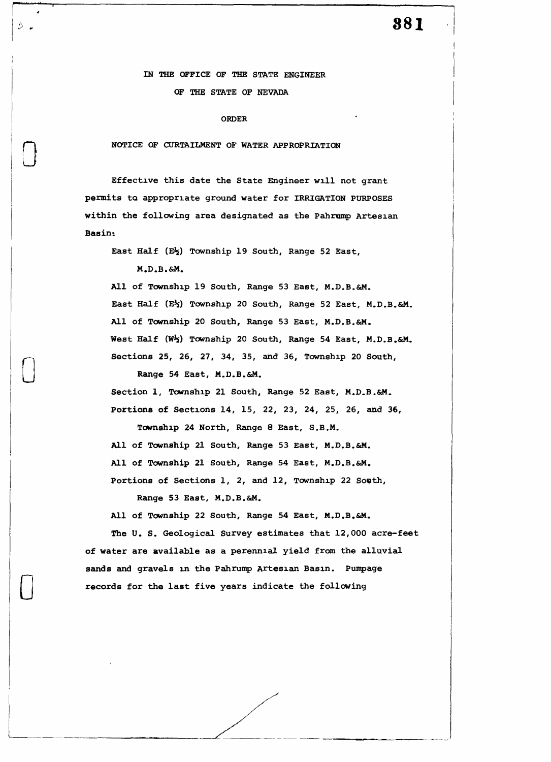## **381**

## IN THE OFFICE OF THE STATE ENGINEER OF THE STATE OF NEVADA

## ORDER

**NOTICE OF CURTAILMENT** OF **WATER APPROPRIATION** 

Effective this date the State Engineer will not grant permits ta appropriate ground water for IRRIGATION PURPOSES **within** the following area designated as the Pahrump Artesian **Basin:** 

East Half (E\) Township 19 South, Range 52 East,

M.D.B.&M.

0

 $\hat{\mathcal{Z}}$  and

 $\Box$ 

 $\Box$ 

L

All of Township 19 South, Range 53 East, M.D.B.&M. East Half (E½) Township 20 South, Range 52 East, M.D.B.&M. All of Township 20 South, Range 53 East, M.D.B.&M. West Half **(W½)** Township 20 South, Range 54 East, M.D.B.&M. Sections 25, 26, 27, 34, 35, and 36, Township 20 South,

Range 54 East, M.D.B.&M.

Section l, Township 21 South, Range 52 East, M.D.B.&M. Portions of Sections 14, 15, 22, 23, 24, 25, 26, and 36,

Township 24 North, Range 8 East, S.B.M. All of Township 21 South, Range 53 East, M.D.B.&M. All of Township 21 South, Range 54 East, M.D.B.&M. Portions of Sections 1, 2, and 12, Township 22 South,

Range 53 East, M.D.B.&M.

All of Township 22 South, Range 54 East, M.D.B.&M.

The U. S. Geological Survey estimates that 12,000 acre-feet of water are available as a perennial yield from the alluvial sands and gravels in the Pahrump Artesian Basin. Pumpage records for the last five years indicate the following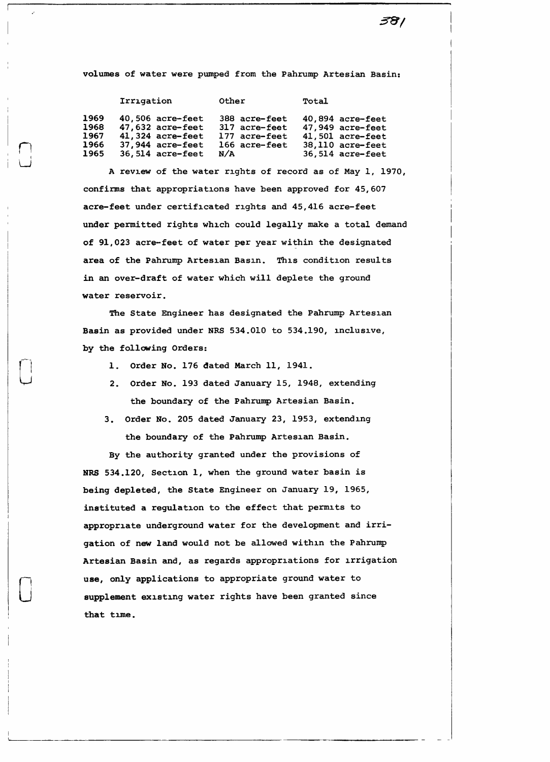381

volumes of water were pumped from the Pahrump Artesian Basin:

|      | Irrigation         | Other         | Total            |
|------|--------------------|---------------|------------------|
| 1969 | $40,506$ acre-feet | 388 acre-feet | 40,894 acre-feet |
| 1968 | 47,632 acre-feet   | 317 acre-feet | 47,949 acre-feet |
| 1967 | 41,324 acre-feet   | 177 acre-feet | 41,501 acre-feet |
| 1966 | $37,944$ acre-feet | 166 acre-feet | 38,110 acre-feet |
| 1965 | $36,514$ acre-feet | N/A           | 36,514 acre-feet |

n  $\bigcup_{i=1}^{n}$ 

 $\bigcup$ 

0

A review of the water rights of record as of May l, 1970, confirms that appropriations have been approved for 45,607 acre-feet under certificated rights and 45,416 acre-feet under permitted rights which could legally make a total demand of 91,023 acre-feet of water per year within the designated **area** of the Pahrump Artesian Basin. This condition results in an over-draft of water which will deplete the ground water reservoir.

The State Engineer has designated the Pahrump Artesian **Basin** as provided under NRS 534.010 to 534.190, inclusive, by the following Orders:

- 1. Order No. 176 dated March 11, 1941.
- 2. Order No. 193 dated January 15, 1948, extending the boundary of the Pahrump Artesian Basin.
- 3. Order No. 205 dated January 23, 1953, extending the boundary of the Pahrump Artesian Basin.

By the authority granted under the provisions of NRS 534.120, Section 1, when the ground water basin is being depleted, the State Engineer on January 19, 1965, instituted a regulation to the effect that permits to appropriate underground water for the development and irrigation of new land would not be allowed within the Pahrump Artesian Basin and, as regards appropriations for irrigation **use,** only applications to appropriate ground water to supplement existing water rights have been granted since that time.